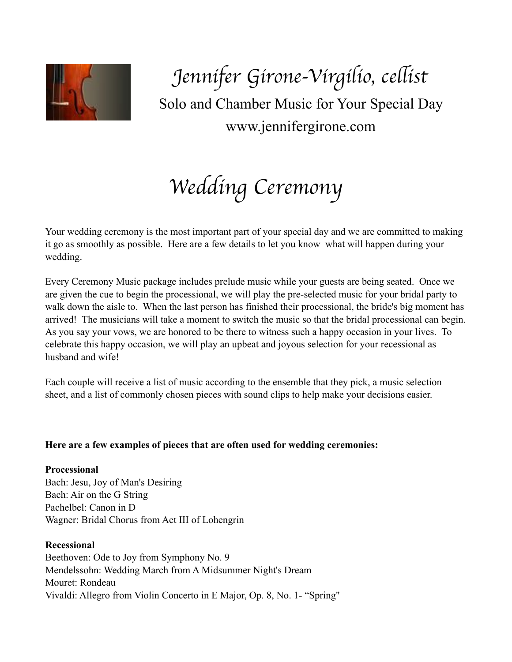

*Jennifer Girone-Virgilio, ce*l*ist* Solo and Chamber Music for Your Special Day www.jennifergirone.com

*Wedding Ceremony*

Your wedding ceremony is the most important part of your special day and we are committed to making it go as smoothly as possible. Here are a few details to let you know what will happen during your wedding.

Every Ceremony Music package includes prelude music while your guests are being seated. Once we are given the cue to begin the processional, we will play the pre-selected music for your bridal party to walk down the aisle to. When the last person has finished their processional, the bride's big moment has arrived! The musicians will take a moment to switch the music so that the bridal processional can begin. As you say your vows, we are honored to be there to witness such a happy occasion in your lives. To celebrate this happy occasion, we will play an upbeat and joyous selection for your recessional as husband and wife!

Each couple will receive a list of music according to the ensemble that they pick, a music selection sheet, and a list of commonly chosen pieces with sound clips to help make your decisions easier.

# **Here are a few examples of pieces that are often used for wedding ceremonies:**

**Processional**  Bach: Jesu, Joy of Man's Desiring Bach: Air on the G String Pachelbel: Canon in D Wagner: Bridal Chorus from Act III of Lohengrin

**Recessional** 

Beethoven: Ode to Joy from Symphony No. 9 Mendelssohn: Wedding March from A Midsummer Night's Dream Mouret: Rondeau Vivaldi: Allegro from Violin Concerto in E Major, Op. 8, No. 1- "Spring"